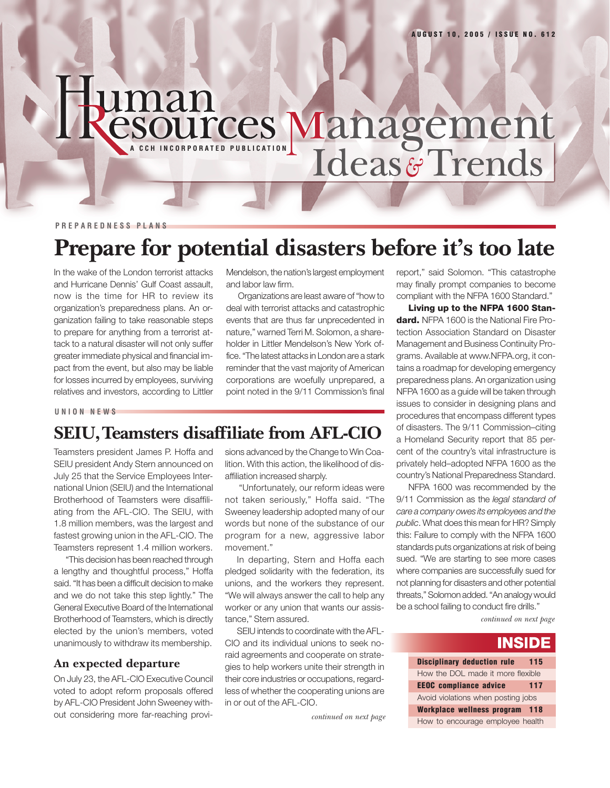# uman **CSOUITCES Management**

**PREPAREDNESS PLANS**

## **Prepare for potential disasters before it's too late**

In the wake of the London terrorist attacks and Hurricane Dennis' Gulf Coast assault, now is the time for HR to review its organization's preparedness plans. An organization failing to take reasonable steps to prepare for anything from a terrorist attack to a natural disaster will not only suffer greater immediate physical and financial impact from the event, but also may be liable for losses incurred by employees, surviving relatives and investors, according to Littler

Mendelson, the nation's largest employment and labor law firm.

Organizations are least aware of "how to deal with terrorist attacks and catastrophic events that are thus far unprecedented in nature," warned Terri M. Solomon, a shareholder in Littler Mendelson's New York office. "The latest attacks in London are a stark reminder that the vast majority of American corporations are woefully unprepared, a point noted in the 9/11 Commission's final

**UNION NEWS**

### **SEIU, Teamsters disaffiliate from AFL-CIO**

Teamsters president James P. Hoffa and SEIU president Andy Stern announced on July 25 that the Service Employees International Union (SEIU) and the International Brotherhood of Teamsters were disaffiliating from the AFL-CIO. The SEIU, with 1.8 million members, was the largest and fastest growing union in the AFL-CIO. The Teamsters represent 1.4 million workers.

"This decision has been reached through a lengthy and thoughtful process," Hoffa said. "It has been a difficult decision to make and we do not take this step lightly." The General Executive Board of the International Brotherhood of Teamsters, which is directly elected by the union's members, voted unanimously to withdraw its membership.

#### **An expected departure**

On July 23, the AFL-CIO Executive Council voted to adopt reform proposals offered by AFL-CIO President John Sweeney without considering more far-reaching provisions advanced by the Change to Win Coalition. With this action, the likelihood of disaffiliation increased sharply.

 "Unfortunately, our reform ideas were not taken seriously," Hoffa said. "The Sweeney leadership adopted many of our words but none of the substance of our program for a new, aggressive labor movement."

In departing, Stern and Hoffa each pledged solidarity with the federation, its unions, and the workers they represent. "We will always answer the call to help any worker or any union that wants our assistance," Stern assured.

SEIU intends to coordinate with the AFL-CIO and its individual unions to seek noraid agreements and cooperate on strategies to help workers unite their strength in their core industries or occupations, regardless of whether the cooperating unions are in or out of the AFL-CIO.

*continued on next page*

report," said Solomon. "This catastrophe may finally prompt companies to become compliant with the NFPA 1600 Standard."

**Living up to the NFPA 1600 Standard.** NFPA 1600 is the National Fire Protection Association Standard on Disaster Management and Business Continuity Programs. Available at www.NFPA.org, it contains a roadmap for developing emergency preparedness plans. An organization using NFPA 1600 as a guide will be taken through issues to consider in designing plans and procedures that encompass different types of disasters. The 9/11 Commission–citing a Homeland Security report that 85 percent of the country's vital infrastructure is privately held–adopted NFPA 1600 as the country's National Preparedness Standard.

NFPA 1600 was recommended by the 9/11 Commission as the *legal standard of care a company owes its employees and the public*. What does this mean for HR? Simply this: Failure to comply with the NFPA 1600 standards puts organizations at risk of being sued. "We are starting to see more cases where companies are successfully sued for not planning for disasters and other potential threats," Solomon added. "An analogy would be a school failing to conduct fire drills."

*continued on next page*

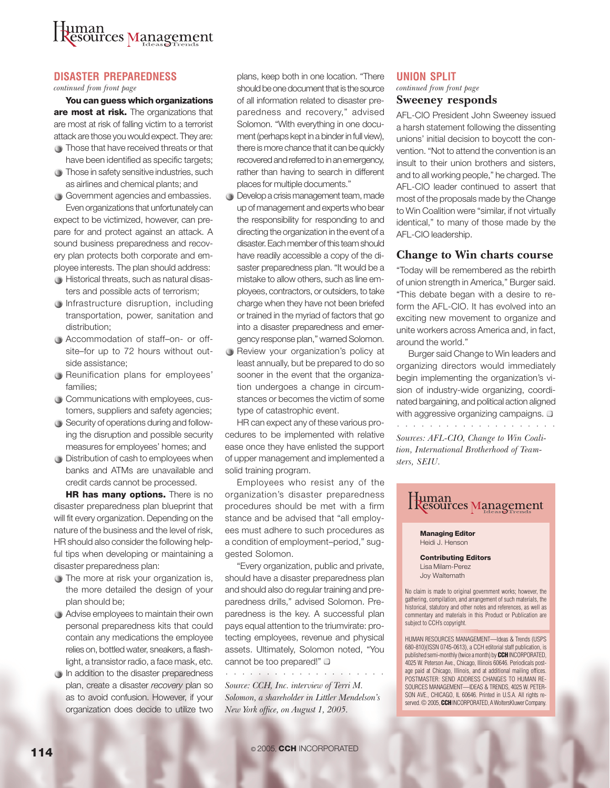### uman esources Management

#### **DISASTER PREPAREDNESS**

*continued from front page*

**You can guess which organizations are most at risk.** The organizations that are most at risk of falling victim to a terrorist attack are those you would expect. They are:

- $\bigcirc$  Those that have received threats or that have been identified as specific targets;
- **Those in safety sensitive industries, such** as airlines and chemical plants; and

Government agencies and embassies. Even organizations that unfortunately can expect to be victimized, however, can prepare for and protect against an attack. A sound business preparedness and recovery plan protects both corporate and employee interests. The plan should address:

- Historical threats, such as natural disasters and possible acts of terrorism;
- **Infrastructure disruption, including** transportation, power, sanitation and distribution;
- Accommodation of staff–on- or offsite–for up to 72 hours without outside assistance;
- Reunification plans for employees' families;
- Communications with employees, customers, suppliers and safety agencies;
- Security of operations during and following the disruption and possible security measures for employees' homes; and
- Distribution of cash to employees when banks and ATMs are unavailable and credit cards cannot be processed.

**HR has many options.** There is no disaster preparedness plan blueprint that will fit every organization. Depending on the nature of the business and the level of risk, HR should also consider the following helpful tips when developing or maintaining a disaster preparedness plan:

- The more at risk your organization is, the more detailed the design of your plan should be;
- Advise employees to maintain their own personal preparedness kits that could contain any medications the employee relies on, bottled water, sneakers, a flashlight, a transistor radio, a face mask, etc.
- $\bigcirc$  In addition to the disaster preparedness plan, create a disaster *recovery* plan so as to avoid confusion. However, if your organization does decide to utilize two

plans, keep both in one location. "There should be one document that is the source of all information related to disaster preparedness and recovery," advised Solomon. "With everything in one document (perhaps kept in a binder in full view), there is more chance that it can be quickly recovered and referred to in an emergency, rather than having to search in different places for multiple documents."

- **Develop a crisis management team, made** up of management and experts who bear the responsibility for responding to and directing the organization in the event of a disaster. Each member of this team should have readily accessible a copy of the disaster preparedness plan. "It would be a mistake to allow others, such as line employees, contractors, or outsiders, to take charge when they have not been briefed or trained in the myriad of factors that go into a disaster preparedness and emergency response plan," warned Solomon.
- Review your organization's policy at least annually, but be prepared to do so sooner in the event that the organization undergoes a change in circumstances or becomes the victim of some type of catastrophic event.

HR can expect any of these various procedures to be implemented with relative ease once they have enlisted the support of upper management and implemented a solid training program.

Employees who resist any of the organization's disaster preparedness procedures should be met with a firm stance and be advised that "all employees must adhere to such procedures as a condition of employment–period," suggested Solomon.

"Every organization, public and private, should have a disaster preparedness plan and should also do regular training and preparedness drills," advised Solomon. Preparedness is the key. A successful plan pays equal attention to the triumvirate: protecting employees, revenue and physical assets. Ultimately, Solomon noted, "You cannot be too prepared!"  $\square$ 

○○○○○○○○○ ○○○○○○○○○○○ *Source: CCH, Inc. interview of Terri M. Solomon, a shareholder in Littler Mendelson's New York office, on August 1, 2005.*

#### **UNION SPLIT**

**Sweeney responds** *continued from front page*

AFL-CIO President John Sweeney issued a harsh statement following the dissenting unions' initial decision to boycott the convention. "Not to attend the convention is an insult to their union brothers and sisters, and to all working people," he charged. The AFL-CIO leader continued to assert that most of the proposals made by the Change to Win Coalition were "similar, if not virtually identical," to many of those made by the AFL-CIO leadership.

#### **Change to Win charts course**

"Today will be remembered as the rebirth of union strength in America," Burger said. "This debate began with a desire to reform the AFL-CIO. It has evolved into an exciting new movement to organize and unite workers across America and, in fact, around the world."

Burger said Change to Win leaders and organizing directors would immediately begin implementing the organization's vision of industry-wide organizing, coordinated bargaining, and political action aligned with aggressive organizing campaigns.  $\square$ ○○○○○○○○ ○○○○○○○○○○○○

*Sources: AFL-CIO, Change to Win Coalition, International Brotherhood of Teamsters, SEIU.*



**114**  $\circ$  2005, **CCH** INCORPORATED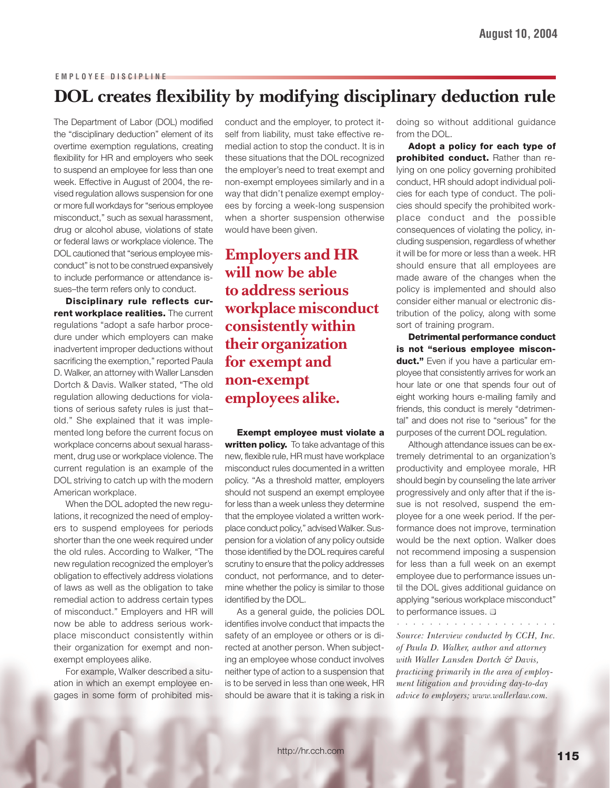#### **EMPLOYEE DISCIPLINE**

### **DOL creates flexibility by modifying disciplinary deduction rule**

The Department of Labor (DOL) modified the "disciplinary deduction" element of its overtime exemption regulations, creating flexibility for HR and employers who seek to suspend an employee for less than one week. Effective in August of 2004, the revised regulation allows suspension for one or more full workdays for "serious employee misconduct," such as sexual harassment, drug or alcohol abuse, violations of state or federal laws or workplace violence. The DOL cautioned that "serious employee misconduct" is not to be construed expansively to include performance or attendance issues–the term refers only to conduct.

**Disciplinary rule reflects current workplace realities.** The current regulations "adopt a safe harbor procedure under which employers can make inadvertent improper deductions without sacrificing the exemption," reported Paula D. Walker, an attorney with Waller Lansden Dortch & Davis. Walker stated, "The old regulation allowing deductions for violations of serious safety rules is just that– old." She explained that it was implemented long before the current focus on workplace concerns about sexual harassment, drug use or workplace violence. The current regulation is an example of the DOL striving to catch up with the modern American workplace.

When the DOL adopted the new regulations, it recognized the need of employers to suspend employees for periods shorter than the one week required under the old rules. According to Walker, "The new regulation recognized the employer's obligation to effectively address violations of laws as well as the obligation to take remedial action to address certain types of misconduct." Employers and HR will now be able to address serious workplace misconduct consistently within their organization for exempt and nonexempt employees alike.

For example, Walker described a situation in which an exempt employee engages in some form of prohibited misconduct and the employer, to protect itself from liability, must take effective remedial action to stop the conduct. It is in these situations that the DOL recognized the employer's need to treat exempt and non-exempt employees similarly and in a way that didn't penalize exempt employees by forcing a week-long suspension when a shorter suspension otherwise would have been given.

**Employers and HR will now be able to address serious workplace misconduct consistently within their organization for exempt and non-exempt employees alike.**

**Exempt employee must violate a** written policy. To take advantage of this new, flexible rule, HR must have workplace misconduct rules documented in a written policy. "As a threshold matter, employers should not suspend an exempt employee for less than a week unless they determine that the employee violated a written workplace conduct policy," advised Walker. Suspension for a violation of any policy outside those identified by the DOL requires careful scrutiny to ensure that the policy addresses conduct, not performance, and to determine whether the policy is similar to those identified by the DOL.

As a general guide, the policies DOL identifies involve conduct that impacts the safety of an employee or others or is directed at another person. When subjecting an employee whose conduct involves neither type of action to a suspension that is to be served in less than one week, HR should be aware that it is taking a risk in doing so without additional guidance from the DOL.

**Adopt a policy for each type of prohibited conduct.** Rather than relying on one policy governing prohibited conduct, HR should adopt individual policies for each type of conduct. The policies should specify the prohibited workplace conduct and the possible consequences of violating the policy, including suspension, regardless of whether it will be for more or less than a week. HR should ensure that all employees are made aware of the changes when the policy is implemented and should also consider either manual or electronic distribution of the policy, along with some sort of training program.

**Detrimental performance conduct is not "serious employee misconduct."** Even if you have a particular employee that consistently arrives for work an hour late or one that spends four out of eight working hours e-mailing family and friends, this conduct is merely "detrimental" and does not rise to "serious" for the purposes of the current DOL regulation.

Although attendance issues can be extremely detrimental to an organization's productivity and employee morale, HR should begin by counseling the late arriver progressively and only after that if the issue is not resolved, suspend the employee for a one week period. If the performance does not improve, termination would be the next option. Walker does not recommend imposing a suspension for less than a full week on an exempt employee due to performance issues until the DOL gives additional guidance on applying "serious workplace misconduct" to performance issues.  $\square$ 

*Source: Interview conducted by CCH, Inc. of Paula D. Walker, author and attorney with Waller Lansden Dortch & Davis, practicing primarily in the area of employment litigation and providing day-to-day advice to employers; www.wallerlaw.com.*

○○○○○○○○ ○○○○○○○○○○○○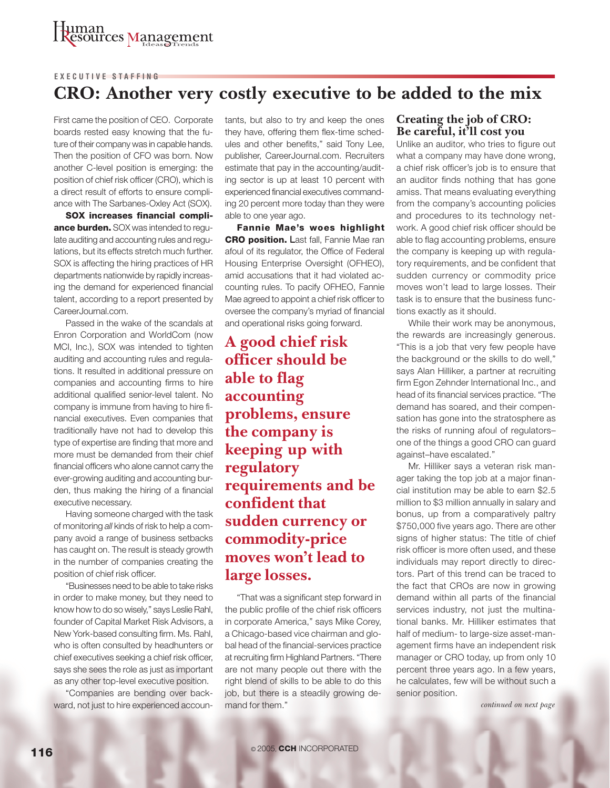#### **EXECUTIVE STAFFING**

### **CRO: Another very costly executive to be added to the mix**

First came the position of CEO. Corporate boards rested easy knowing that the future of their company was in capable hands. Then the position of CFO was born. Now another C-level position is emerging: the position of chief risk officer (CRO), which is a direct result of efforts to ensure compliance with The Sarbanes-Oxley Act (SOX).

**SOX increases financial compliance burden.** SOX was intended to regulate auditing and accounting rules and regulations, but its effects stretch much further. SOX is affecting the hiring practices of HR departments nationwide by rapidly increasing the demand for experienced financial talent, according to a report presented by CareerJournal.com.

Passed in the wake of the scandals at Enron Corporation and WorldCom (now MCI, Inc.), SOX was intended to tighten auditing and accounting rules and regulations. It resulted in additional pressure on companies and accounting firms to hire additional qualified senior-level talent. No company is immune from having to hire financial executives. Even companies that traditionally have not had to develop this type of expertise are finding that more and more must be demanded from their chief financial officers who alone cannot carry the ever-growing auditing and accounting burden, thus making the hiring of a financial executive necessary.

Having someone charged with the task of monitoring *all* kinds of risk to help a company avoid a range of business setbacks has caught on. The result is steady growth in the number of companies creating the position of chief risk officer.

"Businesses need to be able to take risks in order to make money, but they need to know how to do so wisely," says Leslie Rahl, founder of Capital Market Risk Advisors, a New York-based consulting firm. Ms. Rahl, who is often consulted by headhunters or chief executives seeking a chief risk officer, says she sees the role as just as important as any other top-level executive position.

"Companies are bending over backward, not just to hire experienced accountants, but also to try and keep the ones they have, offering them flex-time schedules and other benefits," said Tony Lee, publisher, CareerJournal.com. Recruiters estimate that pay in the accounting/auditing sector is up at least 10 percent with experienced financial executives commanding 20 percent more today than they were able to one year ago.

**Fannie Mae's woes highlight CRO position.** Last fall, Fannie Mae ran afoul of its regulator, the Office of Federal Housing Enterprise Oversight (OFHEO), amid accusations that it had violated accounting rules. To pacify OFHEO, Fannie Mae agreed to appoint a chief risk officer to oversee the company's myriad of financial and operational risks going forward.

**A good chief risk officer should be able to flag accounting problems, ensure the company is keeping up with regulatory requirements and be confident that sudden currency or commodity-price moves won't lead to large losses.**

"That was a significant step forward in the public profile of the chief risk officers in corporate America," says Mike Corey, a Chicago-based vice chairman and global head of the financial-services practice at recruiting firm Highland Partners. "There are not many people out there with the right blend of skills to be able to do this job, but there is a steadily growing demand for them." *continued on next page*

#### **Creating the job of CRO: Be careful, it'll cost you**

Unlike an auditor, who tries to figure out what a company may have done wrong, a chief risk officer's job is to ensure that an auditor finds nothing that has gone amiss. That means evaluating everything from the company's accounting policies and procedures to its technology network. A good chief risk officer should be able to flag accounting problems, ensure the company is keeping up with regulatory requirements, and be confident that sudden currency or commodity price moves won't lead to large losses. Their task is to ensure that the business functions exactly as it should.

While their work may be anonymous, the rewards are increasingly generous. "This is a job that very few people have the background or the skills to do well," says Alan Hilliker, a partner at recruiting firm Egon Zehnder International Inc., and head of its financial services practice. "The demand has soared, and their compensation has gone into the stratosphere as the risks of running afoul of regulators– one of the things a good CRO can guard against–have escalated."

Mr. Hilliker says a veteran risk manager taking the top job at a major financial institution may be able to earn \$2.5 million to \$3 million annually in salary and bonus, up from a comparatively paltry \$750,000 five years ago. There are other signs of higher status: The title of chief risk officer is more often used, and these individuals may report directly to directors. Part of this trend can be traced to the fact that CROs are now in growing demand within all parts of the financial services industry, not just the multinational banks. Mr. Hilliker estimates that half of medium- to large-size asset-management firms have an independent risk manager or CRO today, up from only 10 percent three years ago. In a few years, he calculates, few will be without such a senior position.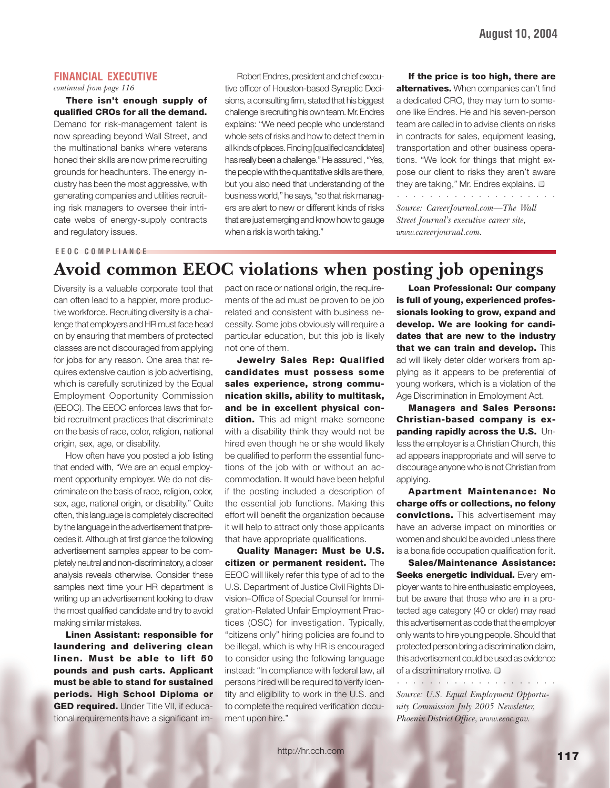#### **FINANCIAL EXECUTIVE**

*continued from page 116*

**There isn't enough supply of qualified CROs for all the demand.** Demand for risk-management talent is now spreading beyond Wall Street, and the multinational banks where veterans honed their skills are now prime recruiting grounds for headhunters. The energy industry has been the most aggressive, with generating companies and utilities recruiting risk managers to oversee their intricate webs of energy-supply contracts and regulatory issues.

Robert Endres, president and chief executive officer of Houston-based Synaptic Decisions, a consulting firm, stated that his biggest challenge is recruiting his own team. Mr. Endres explains: "We need people who understand whole sets of risks and how to detect them in all kinds of places. Finding [qualified candidates] has really been a challenge." He assured , "Yes, the people with the quantitative skills are there, but you also need that understanding of the business world," he says, "so that risk managers are alert to new or different kinds of risks that are just emerging and know how to gauge when a risk is worth taking."

**If the price is too high, there are alternatives.** When companies can't find a dedicated CRO, they may turn to someone like Endres. He and his seven-person team are called in to advise clients on risks in contracts for sales, equipment leasing, transportation and other business operations. "We look for things that might expose our client to risks they aren't aware they are taking," Mr. Endres explains.  $\Box$ 

○○○○○○○○ ○○○○○○○○○○○○

*Source: CareerJournal.com—The Wall Street Journal's executive career site, www.careerjournal.com.*

#### **EEOC COMPLIANCE**

### **Avoid common EEOC violations when posting job openings**

Diversity is a valuable corporate tool that can often lead to a happier, more productive workforce. Recruiting diversity is a challenge that employers and HR must face head on by ensuring that members of protected classes are not discouraged from applying for jobs for any reason. One area that requires extensive caution is job advertising, which is carefully scrutinized by the Equal Employment Opportunity Commission (EEOC). The EEOC enforces laws that forbid recruitment practices that discriminate on the basis of race, color, religion, national origin, sex, age, or disability.

How often have you posted a job listing that ended with, "We are an equal employment opportunity employer. We do not discriminate on the basis of race, religion, color, sex, age, national origin, or disability." Quite often, this language is completely discredited by the language in the advertisement that precedes it. Although at first glance the following advertisement samples appear to be completely neutral and non-discriminatory, a closer analysis reveals otherwise. Consider these samples next time your HR department is writing up an advertisement looking to draw the most qualified candidate and try to avoid making similar mistakes.

**Linen Assistant: responsible for laundering and delivering clean linen. Must be able to lift 50 pounds and push carts. Applicant must be able to stand for sustained periods. High School Diploma or GED required.** Under Title VII, if educational requirements have a significant impact on race or national origin, the requirements of the ad must be proven to be job related and consistent with business necessity. Some jobs obviously will require a particular education, but this job is likely not one of them.

**Jewelry Sales Rep: Qualified candidates must possess some sales experience, strong communication skills, ability to multitask, and be in excellent physical condition.** This ad might make someone with a disability think they would not be hired even though he or she would likely be qualified to perform the essential functions of the job with or without an accommodation. It would have been helpful if the posting included a description of the essential job functions. Making this effort will benefit the organization because it will help to attract only those applicants that have appropriate qualifications.

**Quality Manager: Must be U.S. citizen or permanent resident.** The EEOC will likely refer this type of ad to the U.S. Department of Justice Civil Rights Division–Office of Special Counsel for Immigration-Related Unfair Employment Practices (OSC) for investigation. Typically, "citizens only" hiring policies are found to be illegal, which is why HR is encouraged to consider using the following language instead: "In compliance with federal law, all persons hired will be required to verify identity and eligibility to work in the U.S. and to complete the required verification document upon hire."

**Loan Professional: Our company is full of young, experienced professionals looking to grow, expand and develop. We are looking for candidates that are new to the industry that we can train and develop.** This ad will likely deter older workers from applying as it appears to be preferential of young workers, which is a violation of the Age Discrimination in Employment Act.

**Managers and Sales Persons: Christian-based company is expanding rapidly across the U.S.** Unless the employer is a Christian Church, this ad appears inappropriate and will serve to discourage anyone who is not Christian from applying.

**Apartment Maintenance: No charge offs or collections, no felony convictions.** This advertisement may have an adverse impact on minorities or women and should be avoided unless there is a bona fide occupation qualification for it.

**Sales/Maintenance Assistance: Seeks energetic individual.** Every employer wants to hire enthusiastic employees, but be aware that those who are in a protected age category (40 or older) may read this advertisement as code that the employer only wants to hire young people. Should that protected person bring a discrimination claim, this advertisement could be used as evidence of a discriminatory motive.  $\Box$ 

*Source: U.S. Equal Employment Opportunity Commission July 2005 Newsletter, Phoenix District Office, www.eeoc.gov.*

○○○○○○○○ ○○○○○○○○○○○○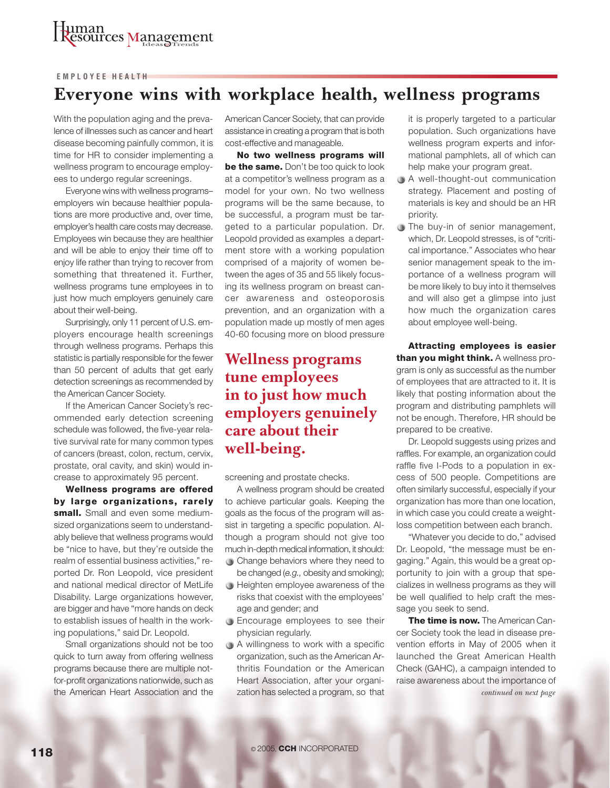#### **EMPLOYEE HEALTH**

### **Everyone wins with workplace health, wellness programs**

With the population aging and the prevalence of illnesses such as cancer and heart disease becoming painfully common, it is time for HR to consider implementing a wellness program to encourage employees to undergo regular screenings.

Everyone wins with wellness programs– employers win because healthier populations are more productive and, over time, employer's health care costs may decrease. Employees win because they are healthier and will be able to enjoy their time off to enjoy life rather than trying to recover from something that threatened it. Further, wellness programs tune employees in to just how much employers genuinely care about their well-being.

Surprisingly, only 11 percent of U.S. employers encourage health screenings through wellness programs. Perhaps this statistic is partially responsible for the fewer than 50 percent of adults that get early detection screenings as recommended by the American Cancer Society.

If the American Cancer Society's recommended early detection screening schedule was followed, the five-year relative survival rate for many common types of cancers (breast, colon, rectum, cervix, prostate, oral cavity, and skin) would increase to approximately 95 percent.

**Wellness programs are offered by large organizations, rarely small.** Small and even some mediumsized organizations seem to understandably believe that wellness programs would be "nice to have, but they're outside the realm of essential business activities," reported Dr. Ron Leopold, vice president and national medical director of MetLife Disability. Large organizations however, are bigger and have "more hands on deck to establish issues of health in the working populations," said Dr. Leopold.

Small organizations should not be too quick to turn away from offering wellness programs because there are multiple notfor-profit organizations nationwide, such as the American Heart Association and the American Cancer Society, that can provide assistance in creating a program that is both cost-effective and manageable.

**No two wellness programs will be the same.** Don't be too quick to look at a competitor's wellness program as a model for your own. No two wellness programs will be the same because, to be successful, a program must be targeted to a particular population. Dr. Leopold provided as examples a department store with a working population comprised of a majority of women between the ages of 35 and 55 likely focusing its wellness program on breast cancer awareness and osteoporosis prevention, and an organization with a population made up mostly of men ages 40-60 focusing more on blood pressure

### **Wellness programs tune employees in to just how much employers genuinely care about their well-being.**

screening and prostate checks.

A wellness program should be created to achieve particular goals. Keeping the goals as the focus of the program will assist in targeting a specific population. Although a program should not give too much in-depth medical information, it should:

- Change behaviors where they need to be changed (*e.g.,* obesity and smoking);
- $\bigcirc$  Heighten employee awareness of the risks that coexist with the employees' age and gender; and
- **Encourage employees to see their** physician regularly.
- A willingness to work with a specific organization, such as the American Arthritis Foundation or the American Heart Association, after your organization has selected a program, so that

it is properly targeted to a particular population. Such organizations have wellness program experts and informational pamphlets, all of which can help make your program great.

- A well-thought-out communication strategy. Placement and posting of materials is key and should be an HR priority.
- The buy-in of senior management, which, Dr. Leopold stresses, is of "critical importance." Associates who hear senior management speak to the importance of a wellness program will be more likely to buy into it themselves and will also get a glimpse into just how much the organization cares about employee well-being.

**Attracting employees is easier than you might think.** A wellness program is only as successful as the number of employees that are attracted to it. It is likely that posting information about the program and distributing pamphlets will not be enough. Therefore, HR should be prepared to be creative.

Dr. Leopold suggests using prizes and raffles. For example, an organization could raffle five I-Pods to a population in excess of 500 people. Competitions are often similarly successful, especially if your organization has more than one location, in which case you could create a weightloss competition between each branch.

"Whatever you decide to do," advised Dr. Leopold, "the message must be engaging." Again, this would be a great opportunity to join with a group that specializes in wellness programs as they will be well qualified to help craft the message you seek to send.

**The time is now.** The American Cancer Society took the lead in disease prevention efforts in May of 2005 when it launched the Great American Health Check (GAHC), a campaign intended to raise awareness about the importance of *continued on next page*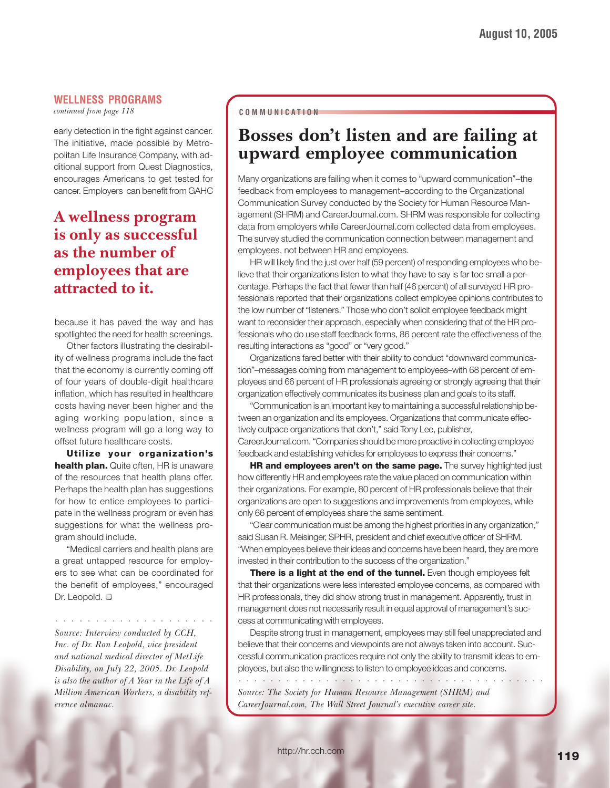#### **WELLNESS PROGRAMS**

*continued from page 118*

early detection in the fight against cancer. The initiative, made possible by Metropolitan Life Insurance Company, with additional support from Quest Diagnostics, encourages Americans to get tested for cancer. Employers can benefit from GAHC

### **A wellness program is only as successful as the number of employees that are attracted to it.**

because it has paved the way and has spotlighted the need for health screenings.

Other factors illustrating the desirability of wellness programs include the fact that the economy is currently coming off of four years of double-digit healthcare inflation, which has resulted in healthcare costs having never been higher and the aging working population, since a wellness program will go a long way to offset future healthcare costs.

**Utilize your organization's health plan.** Quite often, HR is unaware of the resources that health plans offer. Perhaps the health plan has suggestions for how to entice employees to participate in the wellness program or even has suggestions for what the wellness program should include.

"Medical carriers and health plans are a great untapped resource for employers to see what can be coordinated for the benefit of employees," encouraged Dr. Leopold.  $\square$ 

○○○○○○○○○○○○○○○○○○○○

*Source: Interview conducted by CCH, Inc. of Dr. Ron Leopold, vice president and national medical director of MetLife Disability, on July 22, 2005. Dr. Leopold is also the author of A Year in the Life of A Million American Workers, a disability reference almanac.*

#### **COMMUNICATION**

### **Bosses don't listen and are failing at upward employee communication**

Many organizations are failing when it comes to "upward communication"–the feedback from employees to management–according to the Organizational Communication Survey conducted by the Society for Human Resource Management (SHRM) and CareerJournal.com. SHRM was responsible for collecting data from employers while CareerJournal.com collected data from employees. The survey studied the communication connection between management and employees, not between HR and employees.

HR will likely find the just over half (59 percent) of responding employees who believe that their organizations listen to what they have to say is far too small a percentage. Perhaps the fact that fewer than half (46 percent) of all surveyed HR professionals reported that their organizations collect employee opinions contributes to the low number of "listeners." Those who don't solicit employee feedback might want to reconsider their approach, especially when considering that of the HR professionals who do use staff feedback forms, 86 percent rate the effectiveness of the resulting interactions as "good" or "very good."

Organizations fared better with their ability to conduct "downward communication"–messages coming from management to employees–with 68 percent of employees and 66 percent of HR professionals agreeing or strongly agreeing that their organization effectively communicates its business plan and goals to its staff.

"Communication is an important key to maintaining a successful relationship between an organization and its employees. Organizations that communicate effectively outpace organizations that don't," said Tony Lee, publisher, CareerJournal.com. "Companies should be more proactive in collecting employee feedback and establishing vehicles for employees to express their concerns."

**HR and employees aren't on the same page.** The survey highlighted just how differently HR and employees rate the value placed on communication within their organizations. For example, 80 percent of HR professionals believe that their organizations are open to suggestions and improvements from employees, while only 66 percent of employees share the same sentiment.

"Clear communication must be among the highest priorities in any organization," said Susan R. Meisinger, SPHR, president and chief executive officer of SHRM. "When employees believe their ideas and concerns have been heard, they are more invested in their contribution to the success of the organization."

**There is a light at the end of the tunnel.** Even though employees felt that their organizations were less interested employee concerns, as compared with HR professionals, they did show strong trust in management. Apparently, trust in management does not necessarily result in equal approval of management's success at communicating with employees.

Despite strong trust in management, employees may still feel unappreciated and believe that their concerns and viewpoints are not always taken into account. Successful communication practices require not only the ability to transmit ideas to employees, but also the willingness to listen to employee ideas and concerns.

○○○○○○○○○○○○○○○○○ ○○○○○○○○○○○○○○○○○○○○○○

*Source: The Society for Human Resource Management (SHRM) and CareerJournal.com, The Wall Street Journal's executive career site.*